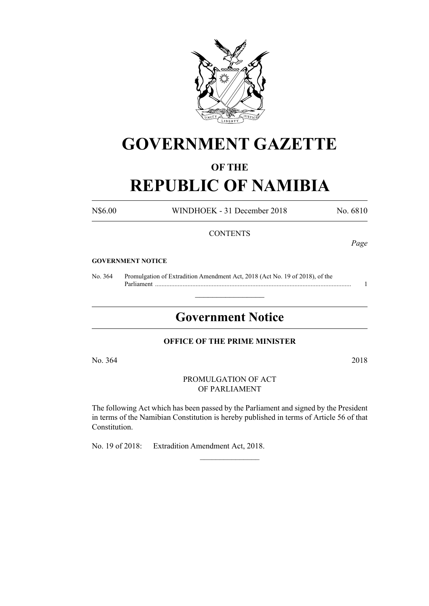

# **GOVERNMENT GAZETTE**

### **OF THE**

## **REPUBLIC OF NAMIBIA**

N\$6.00 WINDHOEK - 31 December 2018 No. 6810

#### **CONTENTS**

*Page*

#### **GOVERNMENT NOTICE**

No. 364 Promulgation of Extradition Amendment Act, 2018 (Act No. 19 of 2018), of the Parliament ......................................................................................................................... 1

## **Government Notice**

 $\frac{1}{2}$  ,  $\frac{1}{2}$  ,  $\frac{1}{2}$  ,  $\frac{1}{2}$  ,  $\frac{1}{2}$  ,  $\frac{1}{2}$  ,  $\frac{1}{2}$ 

#### **OFFICE OF THE PRIME MINISTER**

No. 364 2018

PROMULGATION OF ACT OF PARLIAMENT

The following Act which has been passed by the Parliament and signed by the President in terms of the Namibian Constitution is hereby published in terms of Article 56 of that Constitution.

 $\frac{1}{2}$ 

No. 19 of 2018: Extradition Amendment Act, 2018.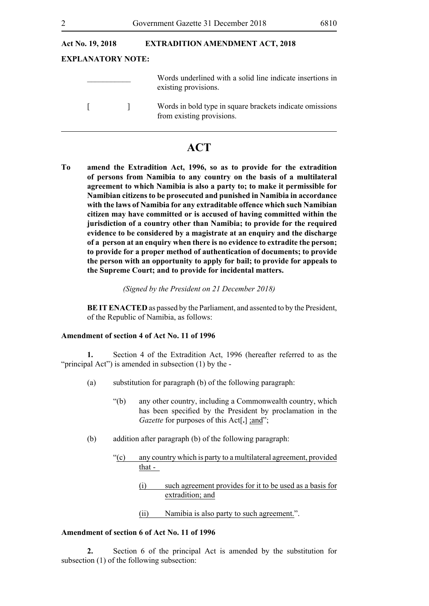| <b>Act No. 19, 2018</b> |                          | <b>EXTRADITION AMENDMENT ACT, 2018</b>                                                |  |  |
|-------------------------|--------------------------|---------------------------------------------------------------------------------------|--|--|
|                         | <b>EXPLANATORY NOTE:</b> |                                                                                       |  |  |
|                         |                          | Words underlined with a solid line indicate insertions in<br>existing provisions.     |  |  |
| $\mathbf{L}$            |                          | Words in bold type in square brackets indicate omissions<br>from existing provisions. |  |  |

### **ACT**

**To amend the Extradition Act, 1996, so as to provide for the extradition of persons from Namibia to any country on the basis of a multilateral agreement to which Namibia is also a party to; to make it permissible for Namibian citizens to be prosecuted and punished in Namibia in accordance with the laws of Namibia for any extraditable offence which such Namibian citizen may have committed or is accused of having committed within the jurisdiction of a country other than Namibia; to provide for the required evidence to be considered by a magistrate at an enquiry and the discharge of a person at an enquiry when there is no evidence to extradite the person; to provide for a proper method of authentication of documents; to provide the person with an opportunity to apply for bail; to provide for appeals to the Supreme Court; and to provide for incidental matters.** 

*(Signed by the President on 21 December 2018)*

**BEIT ENACTED** as passed by the Parliament, and assented to by the President, of the Republic of Namibia, as follows:

#### **Amendment of section 4 of Act No. 11 of 1996**

**1.** Section 4 of the Extradition Act, 1996 (hereafter referred to as the "principal Act") is amended in subsection (1) by the -

- (a) substitution for paragraph (b) of the following paragraph:
	- "(b) any other country, including a Commonwealth country, which has been specified by the President by proclamation in the *Gazette* for purposes of this Act[**.**] ;and";
- (b) addition after paragraph (b) of the following paragraph:
	- "(c) any country which is party to a multilateral agreement, provided that -
		- (i) such agreement provides for it to be used as a basis for extradition; and
		- (ii) Namibia is also party to such agreement.".

#### **Amendment of section 6 of Act No. 11 of 1996**

**2.** Section 6 of the principal Act is amended by the substitution for subsection (1) of the following subsection: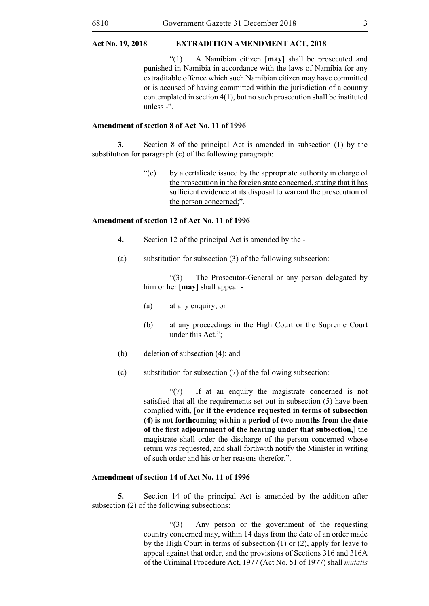"(1) A Namibian citizen [**may**] shall be prosecuted and punished in Namibia in accordance with the laws of Namibia for any extraditable offence which such Namibian citizen may have committed or is accused of having committed within the jurisdiction of a country contemplated in section 4(1), but no such prosecution shall be instituted unless -".

#### **Amendment of section 8 of Act No. 11 of 1996**

**3.** Section 8 of the principal Act is amended in subsection (1) by the substitution for paragraph (c) of the following paragraph:

> "(c) by a certificate issued by the appropriate authority in charge of the prosecution in the foreign state concerned, stating that it has sufficient evidence at its disposal to warrant the prosecution of the person concerned;".

#### **Amendment of section 12 of Act No. 11 of 1996**

- **4.** Section 12 of the principal Act is amended by the -
- (a) substitution for subsection (3) of the following subsection:

"(3) The Prosecutor-General or any person delegated by him or her [**may**] shall appear -

- (a) at any enquiry; or
- (b) at any proceedings in the High Court or the Supreme Court under this Act.";
- (b) deletion of subsection (4); and
- (c) substitution for subsection (7) of the following subsection:

 "(7) If at an enquiry the magistrate concerned is not satisfied that all the requirements set out in subsection (5) have been complied with, [**or if the evidence requested in terms of subsection (4) is not forthcoming within a period of two months from the date of the first adjournment of the hearing under that subsection,**] the magistrate shall order the discharge of the person concerned whose return was requested, and shall forthwith notify the Minister in writing of such order and his or her reasons therefor.".

#### **Amendment of section 14 of Act No. 11 of 1996**

**5.** Section 14 of the principal Act is amended by the addition after subsection (2) of the following subsections:

> "(3) Any person or the government of the requesting country concerned may, within 14 days from the date of an order made by the High Court in terms of subsection (1) or (2), apply for leave to appeal against that order, and the provisions of Sections 316 and 316A of the Criminal Procedure Act, 1977 (Act No. 51 of 1977) shall *mutatis*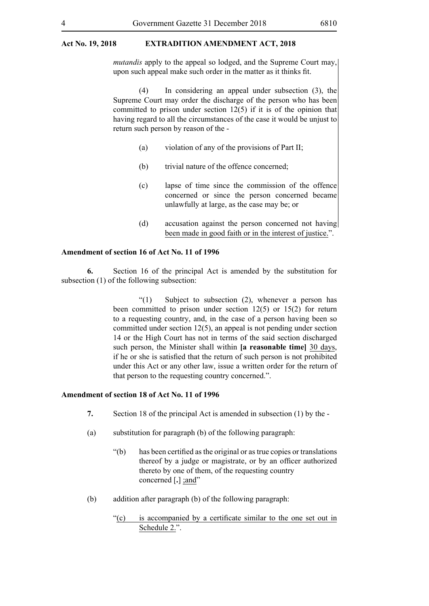#### **Act No. 19, 2018 EXTRADITION AMENDMENT ACT, 2018**

*mutandis* apply to the appeal so lodged, and the Supreme Court may, upon such appeal make such order in the matter as it thinks fit.

(4) In considering an appeal under subsection (3), the Supreme Court may order the discharge of the person who has been committed to prison under section 12(5) if it is of the opinion that having regard to all the circumstances of the case it would be unjust to return such person by reason of the -

- (a) violation of any of the provisions of Part II;
- (b) trivial nature of the offence concerned;
- (c) lapse of time since the commission of the offence concerned or since the person concerned became unlawfully at large, as the case may be; or
- (d) accusation against the person concerned not having been made in good faith or in the interest of justice.".

#### **Amendment of section 16 of Act No. 11 of 1996**

**6.** Section 16 of the principal Act is amended by the substitution for subsection (1) of the following subsection:

> $\degree$ (1) Subject to subsection (2), whenever a person has been committed to prison under section 12(5) or 15(2) for return to a requesting country, and, in the case of a person having been so committed under section 12(5), an appeal is not pending under section 14 or the High Court has not in terms of the said section discharged such person, the Minister shall within **[a reasonable time]** 30 days, if he or she is satisfied that the return of such person is not prohibited under this Act or any other law, issue a written order for the return of that person to the requesting country concerned.".

#### **Amendment of section 18 of Act No. 11 of 1996**

- **7.** Section 18 of the principal Act is amended in subsection (1) by the -
- (a) substitution for paragraph (b) of the following paragraph:
	- "(b) has been certified as the original or as true copies or translations thereof by a judge or magistrate, or by an officer authorized thereto by one of them, of the requesting country concerned [.] ;and"
- (b) addition after paragraph (b) of the following paragraph:
	- "(c) is accompanied by a certificate similar to the one set out in Schedule 2.".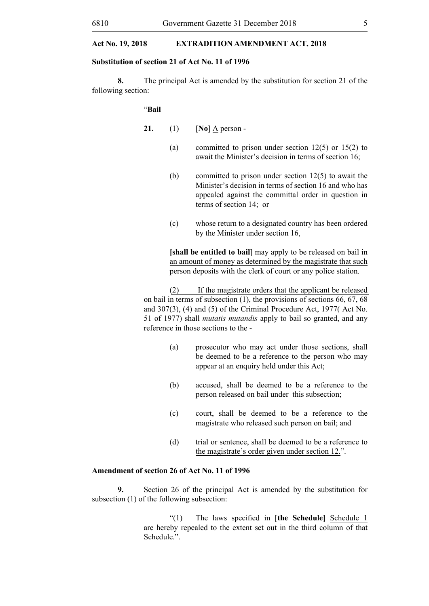#### **Act No. 19, 2018 EXTRADITION AMENDMENT ACT, 2018**

#### **Substitution of section 21 of Act No. 11 of 1996**

**8.** The principal Act is amended by the substitution for section 21 of the following section:

#### "**Bail**

- **21.** (1) [**No**] A person
	- (a) committed to prison under section 12(5) or 15(2) to await the Minister's decision in terms of section 16;
	- (b) committed to prison under section 12(5) to await the Minister's decision in terms of section 16 and who has appealed against the committal order in question in terms of section 14; or
	- (c) whose return to a designated country has been ordered by the Minister under section 16,

**[shall be entitled to bail**] may apply to be released on bail in an amount of money as determined by the magistrate that such person deposits with the clerk of court or any police station.

(2) If the magistrate orders that the applicant be released on bail in terms of subsection (1), the provisions of sections 66, 67, 68 and 307(3), (4) and (5) of the Criminal Procedure Act, 1977( Act No. 51 of 1977) shall *mutatis mutandis* apply to bail so granted, and any reference in those sections to the -

- (a) prosecutor who may act under those sections, shall be deemed to be a reference to the person who may appear at an enquiry held under this Act;
- (b) accused, shall be deemed to be a reference to the person released on bail under this subsection;
- (c) court, shall be deemed to be a reference to the magistrate who released such person on bail; and
- (d) trial or sentence, shall be deemed to be a reference to the magistrate's order given under section 12.".

#### **Amendment of section 26 of Act No. 11 of 1996**

**9.** Section 26 of the principal Act is amended by the substitution for subsection (1) of the following subsection:

> "(1) The laws specified in [**the Schedule]** Schedule 1 are hereby repealed to the extent set out in the third column of that Schedule.".